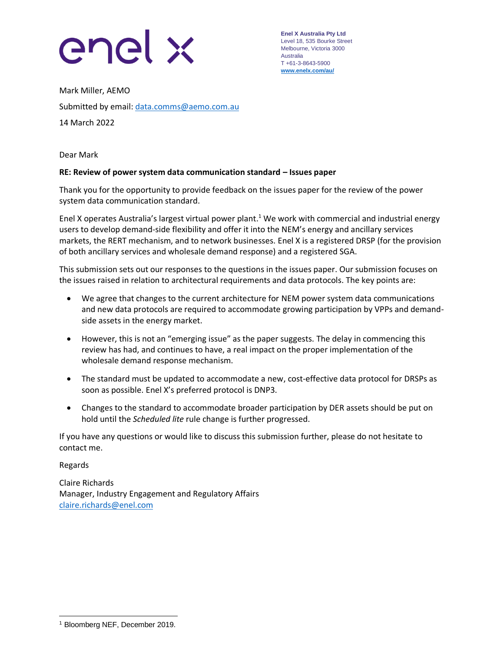

**Enel X Australia Pty Ltd** Level 18, 535 Bourke Street Melbourne, Victoria 3000 Australia T +61-3-8643-5900 **[www.enelx.com/a](http://www.enelx.com/)u/**

Mark Miller, AEMO Submitted by email: [data.comms@aemo.com.au](mailto:data.comms@aemo.com.au) 14 March 2022

Dear Mark

## **RE: Review of power system data communication standard – Issues paper**

Thank you for the opportunity to provide feedback on the issues paper for the review of the power system data communication standard.

Enel X operates Australia's largest virtual power plant. <sup>1</sup> We work with commercial and industrial energy users to develop demand-side flexibility and offer it into the NEM's energy and ancillary services markets, the RERT mechanism, and to network businesses. Enel X is a registered DRSP (for the provision of both ancillary services and wholesale demand response) and a registered SGA.

This submission sets out our responses to the questions in the issues paper. Our submission focuses on the issues raised in relation to architectural requirements and data protocols. The key points are:

- We agree that changes to the current architecture for NEM power system data communications and new data protocols are required to accommodate growing participation by VPPs and demandside assets in the energy market.
- However, this is not an "emerging issue" as the paper suggests. The delay in commencing this review has had, and continues to have, a real impact on the proper implementation of the wholesale demand response mechanism.
- The standard must be updated to accommodate a new, cost-effective data protocol for DRSPs as soon as possible. Enel X's preferred protocol is DNP3.
- Changes to the standard to accommodate broader participation by DER assets should be put on hold until the *Scheduled lite* rule change is further progressed.

If you have any questions or would like to discuss this submission further, please do not hesitate to contact me.

Regards

Claire Richards Manager, Industry Engagement and Regulatory Affairs [claire.richards@enel.com](mailto:claire.richards@enel.com)

<sup>1</sup> Bloomberg NEF, December 2019.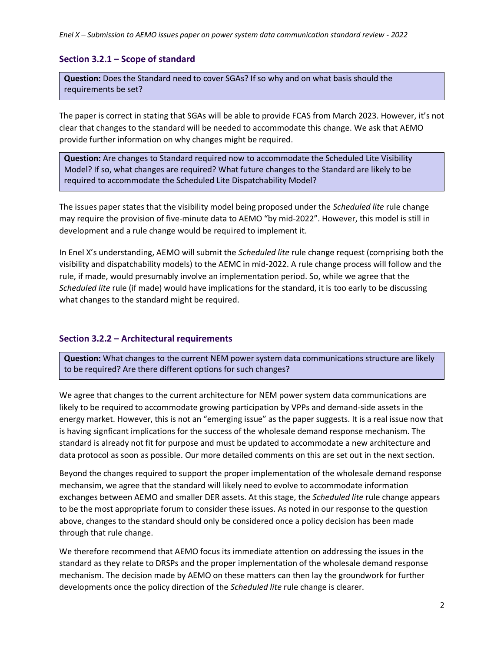## **Section 3.2.1 – Scope of standard**

**Question:** Does the Standard need to cover SGAs? If so why and on what basis should the requirements be set?

The paper is correct in stating that SGAs will be able to provide FCAS from March 2023. However, it's not clear that changes to the standard will be needed to accommodate this change. We ask that AEMO provide further information on why changes might be required.

**Question:** Are changes to Standard required now to accommodate the Scheduled Lite Visibility Model? If so, what changes are required? What future changes to the Standard are likely to be required to accommodate the Scheduled Lite Dispatchability Model?

The issues paper states that the visibility model being proposed under the *Scheduled lite* rule change may require the provision of five-minute data to AEMO "by mid-2022". However, this model is still in development and a rule change would be required to implement it.

In Enel X's understanding, AEMO will submit the *Scheduled lite* rule change request (comprising both the visibility and dispatchability models) to the AEMC in mid-2022. A rule change process will follow and the rule, if made, would presumably involve an implementation period. So, while we agree that the *Scheduled lite* rule (if made) would have implications for the standard, it is too early to be discussing what changes to the standard might be required.

## **Section 3.2.2 – Architectural requirements**

**Question:** What changes to the current NEM power system data communications structure are likely to be required? Are there different options for such changes?

We agree that changes to the current architecture for NEM power system data communications are likely to be required to accommodate growing participation by VPPs and demand-side assets in the energy market. However, this is not an "emerging issue" as the paper suggests. It is a real issue now that is having signficant implications for the success of the wholesale demand response mechanism. The standard is already not fit for purpose and must be updated to accommodate a new architecture and data protocol as soon as possible. Our more detailed comments on this are set out in the next section.

Beyond the changes required to support the proper implementation of the wholesale demand response mechansim, we agree that the standard will likely need to evolve to accommodate information exchanges between AEMO and smaller DER assets. At this stage, the *Scheduled lite* rule change appears to be the most appropriate forum to consider these issues. As noted in our response to the question above, changes to the standard should only be considered once a policy decision has been made through that rule change.

We therefore recommend that AEMO focus its immediate attention on addressing the issues in the standard as they relate to DRSPs and the proper implementation of the wholesale demand response mechanism. The decision made by AEMO on these matters can then lay the groundwork for further developments once the policy direction of the *Scheduled lite* rule change is clearer.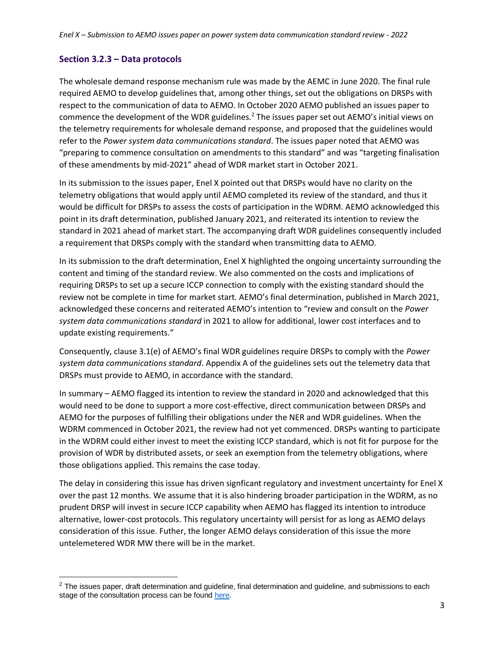## **Section 3.2.3 – Data protocols**

The wholesale demand response mechanism rule was made by the AEMC in June 2020. The final rule required AEMO to develop guidelines that, among other things, set out the obligations on DRSPs with respect to the communication of data to AEMO. In October 2020 AEMO published an issues paper to commence the development of the WDR guidelines.<sup>2</sup> The issues paper set out AEMO's initial views on the telemetry requirements for wholesale demand response, and proposed that the guidelines would refer to the *Power system data communications standard*. The issues paper noted that AEMO was "preparing to commence consultation on amendments to this standard" and was "targeting finalisation of these amendments by mid-2021" ahead of WDR market start in October 2021.

In its submission to the issues paper, Enel X pointed out that DRSPs would have no clarity on the telemetry obligations that would apply until AEMO completed its review of the standard, and thus it would be difficult for DRSPs to assess the costs of participation in the WDRM. AEMO acknowledged this point in its draft determination, published January 2021, and reiterated its intention to review the standard in 2021 ahead of market start. The accompanying draft WDR guidelines consequently included a requirement that DRSPs comply with the standard when transmitting data to AEMO.

In its submission to the draft determination, Enel X highlighted the ongoing uncertainty surrounding the content and timing of the standard review. We also commented on the costs and implications of requiring DRSPs to set up a secure ICCP connection to comply with the existing standard should the review not be complete in time for market start. AEMO's final determination, published in March 2021, acknowledged these concerns and reiterated AEMO's intention to "review and consult on the *Power system data communications standard* in 2021 to allow for additional, lower cost interfaces and to update existing requirements."

Consequently, clause 3.1(e) of AEMO's final WDR guidelines require DRSPs to comply with the *Power system data communications standard*. Appendix A of the guidelines sets out the telemetry data that DRSPs must provide to AEMO, in accordance with the standard.

In summary – AEMO flagged its intention to review the standard in 2020 and acknowledged that this would need to be done to support a more cost-effective, direct communication between DRSPs and AEMO for the purposes of fulfilling their obligations under the NER and WDR guidelines. When the WDRM commenced in October 2021, the review had not yet commenced. DRSPs wanting to participate in the WDRM could either invest to meet the existing ICCP standard, which is not fit for purpose for the provision of WDR by distributed assets, or seek an exemption from the telemetry obligations, where those obligations applied. This remains the case today.

The delay in considering this issue has driven signficant regulatory and investment uncertainty for Enel X over the past 12 months. We assume that it is also hindering broader participation in the WDRM, as no prudent DRSP will invest in secure ICCP capability when AEMO has flagged its intention to introduce alternative, lower-cost protocols. This regulatory uncertainty will persist for as long as AEMO delays consideration of this issue. Futher, the longer AEMO delays consideration of this issue the more untelemetered WDR MW there will be in the market.

 $2$  The issues paper, draft determination and guideline, final determination and guideline, and submissions to each stage of the consultation process can be foun[d here.](https://aemo.com.au/en/consultations/current-and-closed-consultations/wdr-guidelines)